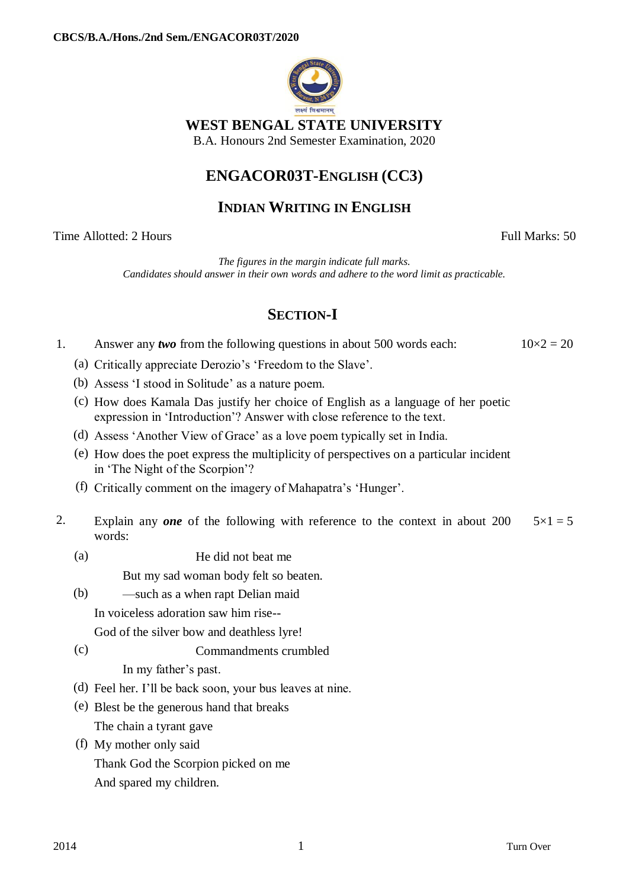

### **WEST BENGAL STATE UNIVERSITY**

B.A. Honours 2nd Semester Examination, 2020

# **ENGACOR03T-ENGLISH (CC3)**

#### **INDIAN WRITING IN ENGLISH**

Time Allotted: 2 Hours Full Marks: 50

*The figures in the margin indicate full marks. Candidates should answer in their own words and adhere to the word limit as practicable.*

# **SECTION-I**

| Answer any <i>two</i> from the following questions in about 500 words each: |  |  |  | $10 \times 2 = 20$ |
|-----------------------------------------------------------------------------|--|--|--|--------------------|
|                                                                             |  |  |  |                    |

- (a) Critically appreciate Derozio's 'Freedom to the Slave'.
- (b) Assess 'I stood in Solitude' as a nature poem.
- (c) How does Kamala Das justify her choice of English as a language of her poetic expression in 'Introduction'? Answer with close reference to the text.
- (d) Assess 'Another View of Grace' as a love poem typically set in India.
- (e) How does the poet express the multiplicity of perspectives on a particular incident in 'The Night of the Scorpion'?
- (f) Critically comment on the imagery of Mahapatra's 'Hunger'.
- 2. Explain any *one* of the following with reference to the context in about 200 words:  $5 \times 1 = 5$ 
	- (a) He did not beat me

But my sad woman body felt so beaten.

- (b) —such as a when rapt Delian maid In voiceless adoration saw him rise-- God of the silver bow and deathless lyre!
- (c) Commandments crumbled

In my father's past.

- (d) Feel her. I'll be back soon, your bus leaves at nine.
- (e) Blest be the generous hand that breaks The chain a tyrant gave
- (f) My mother only said Thank God the Scorpion picked on me And spared my children.